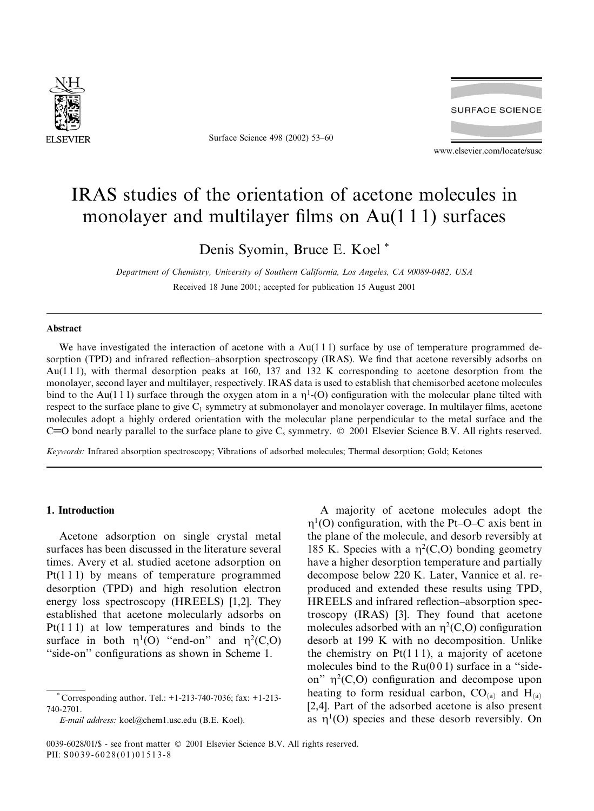

Surface Science 498 (2002) 53-60



www.elsevier.com/locate/susc

# IRAS studies of the orientation of acetone molecules in monolayer and multilayer films on  $Au(111)$  surfaces

Denis Syomin, Bruce E. Koel\*

Department of Chemistry, University of Southern California, Los Angeles, CA 90089-0482, USA Received 18 June 2001; accepted for publication 15 August 2001

#### **A** hetract

We have investigated the interaction of acetone with a  $Au(111)$  surface by use of temperature programmed desorption (TPD) and infrared reflection-absorption spectroscopy (IRAS). We find that acetone reversibly adsorbs on  $Au(111)$ , with thermal desorption peaks at 160, 137 and 132 K corresponding to acetone desorption from the monolayer, second layer and multilayer, respectively. IRAS data is used to establish that chemisorbed acetone molecules bind to the Au(111) surface through the oxygen atom in a  $\eta^1$ -(O) configuration with the molecular plane tilted with respect to the surface plane to give  $C_1$  symmetry at submonolayer and monolayer coverage. In multilayer films, acetone molecules adopt a highly ordered orientation with the molecular plane perpendicular to the metal surface and the C=O bond nearly parallel to the surface plane to give  $C_s$  symmetry.  $\odot$  2001 Elsevier Science B.V. All rights reserved.

Keywords: Infrared absorption spectroscopy; Vibrations of adsorbed molecules; Thermal desorption; Gold; Ketones

#### 1. Introduction

Acetone adsorption on single crystal metal surfaces has been discussed in the literature several times. Avery et al. studied acetone adsorption on  $Pt(111)$  by means of temperature programmed desorption (TPD) and high resolution electron energy loss spectroscopy (HREELS)  $[1,2]$ . They established that acetone molecularly adsorbs on  $Pt(111)$  at low temperatures and binds to the surface in both  $n^1$ (O) "end-on" and  $n^2$ (C,O) "side-on" configurations as shown in Scheme 1.

A majority of acetone molecules adopt the  $\eta^1$ (O) configuration, with the Pt–O–C axis bent in the plane of the molecule, and desorb reversibly at 185 K. Species with a  $\eta^2(C, O)$  bonding geometry have a higher desorption temperature and partially decompose below 220 K. Later, Vannice et al. reproduced and extended these results using TPD, HREELS and infrared reflection-absorption spectroscopy (IRAS) [3]. They found that acetone molecules adsorbed with an  $\eta^2(C, O)$  configuration desorb at 199 K with no decomposition. Unlike the chemistry on  $Pt(111)$ , a majority of acetone molecules bind to the  $Ru(001)$  surface in a "sideon"  $\eta^2(C, O)$  configuration and decompose upon heating to form residual carbon,  $CO_{(a)}$  and  $H_{(a)}$ [2,4]. Part of the adsorbed acetone is also present as  $\eta^1$ (O) species and these desorb reversibly. On

Corresponding author. Tel.: +1-213-740-7036; fax: +1-213-740-2701.

E-mail address: koel@chem1.usc.edu (B.E. Koel).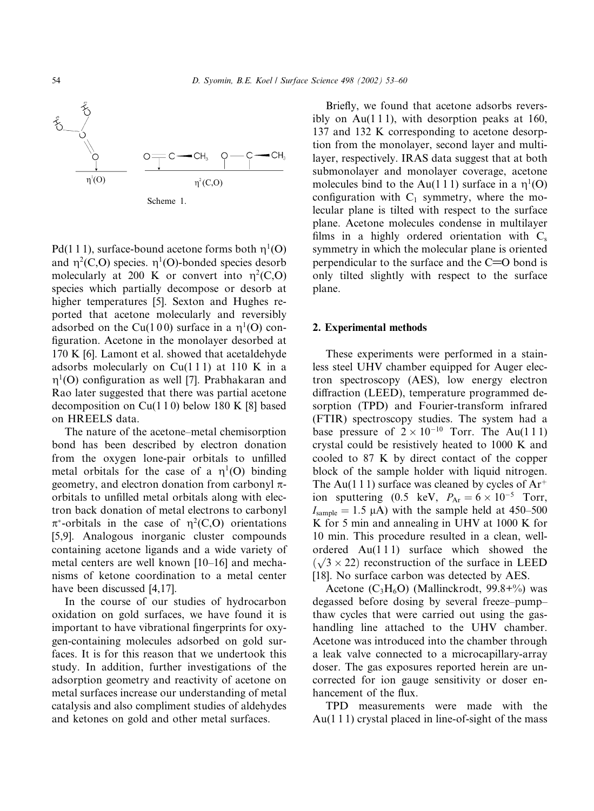

Scheme 1.

Pd(111), surface-bound acetone forms both  $\eta^1$ (O) and  $\eta^2(C, O)$  species.  $\eta^1(O)$ -bonded species desorb molecularly at 200 K or convert into  $\eta^2(C,0)$ species which partially decompose or desorb at higher temperatures [5]. Sexton and Hughes reported that acetone molecularly and reversibly adsorbed on the Cu(100) surface in a  $\eta^1$ (O) configuration. Acetone in the monolayer desorbed at 170 K [6]. Lamont et al. showed that acetaldehyde adsorbs molecularly on  $Cu(111)$  at 110 K in a  $\eta^1$ (O) configuration as well [7]. Prabhakaran and Rao later suggested that there was partial acetone decomposition on  $Cu(110)$  below 180 K [8] based on HREELS data.

The nature of the acetone–metal chemisorption bond has been described by electron donation from the oxygen lone-pair orbitals to unfilled metal orbitals for the case of a  $\eta^1$ (O) binding geometry, and electron donation from carbonyl  $\pi$ orbitals to unfilled metal orbitals along with electron back donation of metal electrons to carbonyl  $\pi^*$ -orbitals in the case of  $\eta^2(C, O)$  orientations [5,9]. Analogous inorganic cluster compounds containing acetone ligands and a wide variety of metal centers are well known [10-16] and mechanisms of ketone coordination to a metal center have been discussed [4,17].

In the course of our studies of hydrocarbon oxidation on gold surfaces, we have found it is important to have vibrational fingerprints for oxygen-containing molecules adsorbed on gold surfaces. It is for this reason that we undertook this study. In addition, further investigations of the adsorption geometry and reactivity of acetone on metal surfaces increase our understanding of metal catalysis and also compliment studies of aldehydes and ketones on gold and other metal surfaces.

Briefly, we found that acetone adsorbs reversibly on  $Au(111)$ , with desorption peaks at 160, 137 and 132 K corresponding to acetone desorption from the monolayer, second layer and multilayer, respectively. IRAS data suggest that at both submonolayer and monolayer coverage, acetone molecules bind to the Au(1 1 1) surface in a  $\eta^1$ (O) configuration with  $C_1$  symmetry, where the molecular plane is tilted with respect to the surface plane. Acetone molecules condense in multilayer films in a highly ordered orientation with  $C_s$ symmetry in which the molecular plane is oriented perpendicular to the surface and the  $C=O$  bond is only tilted slightly with respect to the surface plane.

## 2. Experimental methods

These experiments were performed in a stainless steel UHV chamber equipped for Auger electron spectroscopy (AES), low energy electron diffraction (LEED), temperature programmed desorption (TPD) and Fourier-transform infrared (FTIR) spectroscopy studies. The system had a base pressure of  $2 \times 10^{-10}$  Torr. The Au(111) crystal could be resistively heated to 1000 K and cooled to 87 K by direct contact of the copper block of the sample holder with liquid nitrogen. The Au(1 1 1) surface was cleaned by cycles of  $Ar^+$ ion sputtering (0.5 keV,  $P_{Ar} = 6 \times 10^{-5}$  Torr,  $I_{\text{sample}} = 1.5 \mu A$ ) with the sample held at 450-500 K for 5 min and annealing in UHV at 1000 K for 10 min. This procedure resulted in a clean, wellordered Au(111) surface which showed the  $(\sqrt{3} \times 22)$  reconstruction of the surface in LEED [18]. No surface carbon was detected by AES.

Acetone  $(C_3H_6O)$  (Mallinckrodt, 99.8+%) was degassed before dosing by several freeze-pumpthaw cycles that were carried out using the gashandling line attached to the UHV chamber. Acetone was introduced into the chamber through a leak valve connected to a microcapillary-array doser. The gas exposures reported herein are uncorrected for ion gauge sensitivity or doser enhancement of the flux.

TPD measurements were made with the  $Au(111)$  crystal placed in line-of-sight of the mass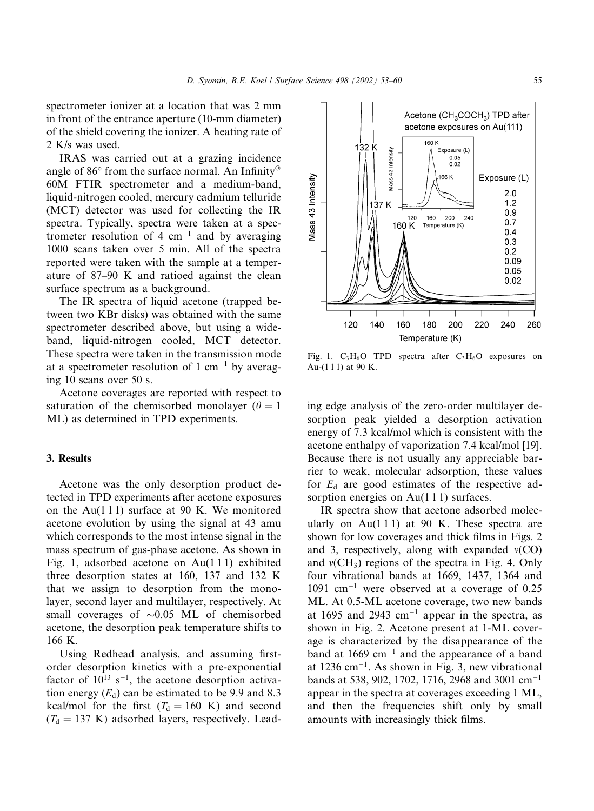spectrometer ionizer at a location that was 2 mm in front of the entrance aperture (10-mm diameter) of the shield covering the ionizer. A heating rate of 2 K/s was used.

IRAS was carried out at a grazing incidence angle of 86° from the surface normal. An Infinity® 60M FTIR spectrometer and a medium-band, liquid-nitrogen cooled, mercury cadmium telluride (MCT) detector was used for collecting the IR spectra. Typically, spectra were taken at a spectrometer resolution of 4  $cm^{-1}$  and by averaging 1000 scans taken over 5 min. All of the spectra reported were taken with the sample at a temperature of 87–90 K and ratioed against the clean surface spectrum as a background.

The IR spectra of liquid acetone (trapped between two KBr disks) was obtained with the same spectrometer described above, but using a wideband, liquid-nitrogen cooled, MCT detector. These spectra were taken in the transmission mode at a spectrometer resolution of 1 cm<sup>-1</sup> by averaging 10 scans over 50 s.

Acetone coverages are reported with respect to saturation of the chemisorbed monolayer ( $\theta = 1$ ) ML) as determined in TPD experiments.

#### 3. Results

Acetone was the only desorption product detected in TPD experiments after acetone exposures on the Au(111) surface at 90 K. We monitored acetone evolution by using the signal at 43 amu which corresponds to the most intense signal in the mass spectrum of gas-phase acetone. As shown in Fig. 1, adsorbed acetone on  $Au(111)$  exhibited three desorption states at 160, 137 and 132 K that we assign to desorption from the monolayer, second layer and multilayer, respectively. At small coverages of  $\sim 0.05$  ML of chemisorbed acetone, the desorption peak temperature shifts to 166 K.

Using Redhead analysis, and assuming firstorder desorption kinetics with a pre-exponential factor of  $10^{13}$  s<sup>-1</sup>, the acetone desorption activation energy  $(E_d)$  can be estimated to be 9.9 and 8.3 kcal/mol for the first  $(T_d = 160 \text{ K})$  and second  $(T<sub>d</sub> = 137 \text{ K})$  adsorbed layers, respectively. Lead-



Fig. 1.  $C_3H_6O$  TPD spectra after  $C_3H_6O$  exposures on Au-(111) at 90 K.

ing edge analysis of the zero-order multilayer desorption peak yielded a desorption activation energy of 7.3 kcal/mol which is consistent with the acetone enthalpy of vaporization 7.4 kcal/mol [19]. Because there is not usually any appreciable barrier to weak, molecular adsorption, these values for  $E_d$  are good estimates of the respective adsorption energies on  $Au(111)$  surfaces.

IR spectra show that acetone adsorbed molecularly on Au $(111)$  at 90 K. These spectra are shown for low coverages and thick films in Figs. 2 and 3, respectively, along with expanded  $v(CO)$ and  $v(CH_3)$  regions of the spectra in Fig. 4. Only four vibrational bands at 1669, 1437, 1364 and  $1091$  cm<sup>-1</sup> were observed at a coverage of 0.25 ML. At 0.5-ML acetone coverage, two new bands at 1695 and 2943 cm<sup>-1</sup> appear in the spectra, as shown in Fig. 2. Acetone present at 1-ML coverage is characterized by the disappearance of the band at 1669  $cm^{-1}$  and the appearance of a band at  $1236$  cm<sup>-1</sup>. As shown in Fig. 3, new vibrational bands at 538, 902, 1702, 1716, 2968 and 3001 cm<sup>-1</sup> appear in the spectra at coverages exceeding 1 ML, and then the frequencies shift only by small amounts with increasingly thick films.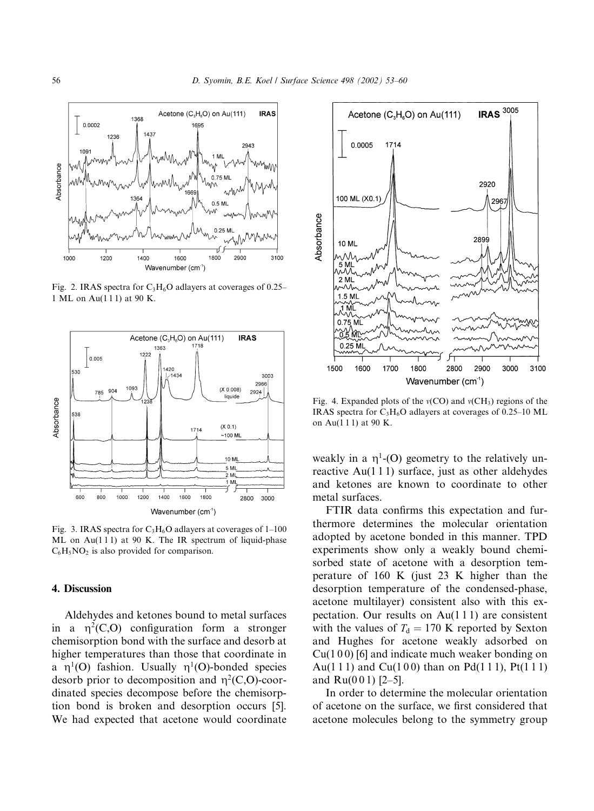

Fig. 2. IRAS spectra for  $C_3H_6O$  adlayers at coverages of 0.25– 1 ML on Au(111) at 90 K.



Fig. 3. IRAS spectra for  $C_3H_6O$  adlayers at coverages of 1-100 ML on Au(111) at 90 K. The IR spectrum of liquid-phase  $C_6H_5NO_2$  is also provided for comparison.

### 4. Discussion

Aldehydes and ketones bound to metal surfaces in a  $\eta^2(C, O)$  configuration form a stronger chemisorption bond with the surface and desorb at higher temperatures than those that coordinate in a  $\eta^1$ (O) fashion. Usually  $\eta^1$ (O)-bonded species desorb prior to decomposition and  $\eta^2(C, O)$ -coordinated species decompose before the chemisorption bond is broken and desorption occurs [5]. We had expected that acetone would coordinate



Fig. 4. Expanded plots of the  $v(CO)$  and  $v(CH_3)$  regions of the IRAS spectra for  $C_3H_6O$  adlayers at coverages of 0.25–10 ML on Au(111) at 90 K.

weakly in a  $\eta^1$ -(O) geometry to the relatively unreactive  $Au(111)$  surface, just as other aldehydes and ketones are known to coordinate to other metal surfaces.

FTIR data confirms this expectation and furthermore determines the molecular orientation adopted by acetone bonded in this manner. TPD experiments show only a weakly bound chemisorbed state of acetone with a desorption temperature of 160 K (just 23 K higher than the desorption temperature of the condensed-phase, acetone multilayer) consistent also with this expectation. Our results on  $Au(111)$  are consistent with the values of  $T_d = 170$  K reported by Sexton and Hughes for acetone weakly adsorbed on  $Cu(100)$  [6] and indicate much weaker bonding on Au(111) and Cu(100) than on Pd(111), Pt(111) and  $Ru(001)$  [2-5].

In order to determine the molecular orientation of acetone on the surface, we first considered that acetone molecules belong to the symmetry group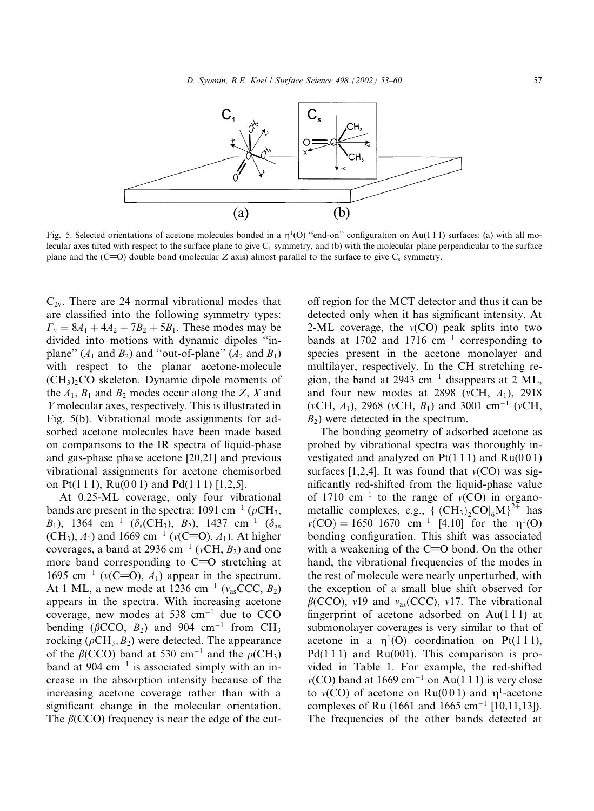

Fig. 5. Selected orientations of acetone molecules bonded in a  $\eta^1(O)$  "end-on" configuration on Au(111) surfaces: (a) with all molecular axes tilted with respect to the surface plane to give  $C_1$  symmetry, and (b) with the molecular plane perpendicular to the surface plane and the (C=O) double bond (molecular Z axis) almost parallel to the surface to give  $C_s$  symmetry.

 $C_{2v}$ . There are 24 normal vibrational modes that are classified into the following symmetry types:  $\Gamma_{v} = 8A_1 + 4A_2 + 7B_2 + 5B_1$ . These modes may be divided into motions with dynamic dipoles "inplane"  $(A_1$  and  $B_2$ ) and "out-of-plane"  $(A_2$  and  $B_1$ ) with respect to the planar acetone-molecule  $(CH<sub>3</sub>)<sub>2</sub>CO$  skeleton. Dynamic dipole moments of the  $A_1$ ,  $B_1$  and  $B_2$  modes occur along the Z, X and Y molecular axes, respectively. This is illustrated in Fig. 5(b). Vibrational mode assignments for adsorbed acetone molecules have been made based on comparisons to the IR spectra of liquid-phase and gas-phase phase acetone [20,21] and previous vibrational assignments for acetone chemisorbed on Pt(111), Ru(001) and Pd(111) [1,2,5].

At 0.25-ML coverage, only four vibrational bands are present in the spectra: 1091 cm<sup>-1</sup> ( $\rho$ CH<sub>3</sub>,  $B_1$ ), 1364 cm<sup>-1</sup> ( $\delta_s$ (CH<sub>3</sub>),  $B_2$ ), 1437 cm<sup>-1</sup> ( $\delta_{as}$ (CH<sub>3</sub>),  $A_1$ ) and 1669 cm<sup>-1</sup> ( $v$ (C=O),  $A_1$ ). At higher coverages, a band at 2936 cm<sup>-1</sup> ( $vCH$ ,  $B_2$ ) and one more band corresponding to  $C=O$  stretching at 1695 cm<sup>-1</sup> ( $v(C=O)$ ,  $A_1$ ) appear in the spectrum. At 1 ML, a new mode at 1236 cm<sup>-1</sup> ( $v_{as}$ CCC,  $B_2$ ) appears in the spectra. With increasing acetone coverage, new modes at 538 cm<sup>-1</sup> due to CCO bending ( $\beta$ CCO,  $B_2$ ) and 904 cm<sup>-1</sup> from CH<sub>3</sub> rocking ( $\rho$ CH<sub>3</sub>, B<sub>2</sub>) were detected. The appearance of the  $\beta$ (CCO) band at 530 cm<sup>-1</sup> and the  $\rho$ (CH<sub>3</sub>) band at 904  $\rm cm^{-1}$  is associated simply with an increase in the absorption intensity because of the increasing acetone coverage rather than with a significant change in the molecular orientation. The  $\beta$ (CCO) frequency is near the edge of the cutoff region for the MCT detector and thus it can be detected only when it has significant intensity. At 2-ML coverage, the  $v(CO)$  peak splits into two bands at 1702 and 1716  $cm^{-1}$  corresponding to species present in the acetone monolayer and multilayer, respectively. In the CH stretching region, the band at 2943 cm<sup>-1</sup> disappears at 2 ML, and four new modes at 2898 ( $vCH$ ,  $A_1$ ), 2918 (vCH, A<sub>1</sub>), 2968 (vCH, B<sub>1</sub>) and 3001 cm<sup>-1</sup> (vCH,  $B_2$ ) were detected in the spectrum.

The bonding geometry of adsorbed acetone as probed by vibrational spectra was thoroughly investigated and analyzed on  $Pt(111)$  and  $Ru(001)$ surfaces [1,2,4]. It was found that  $v(CO)$  was significantly red-shifted from the liquid-phase value of 1710 cm<sup>-1</sup> to the range of  $v(CO)$  in organometallic complexes, e.g.,  $\{[(CH_3)_2CO]_6M\}^{2+}$  has  $v(CO) = 1650-1670$  cm<sup>-1</sup> [4,10] for the  $\eta^1(O)$ bonding configuration. This shift was associated with a weakening of the  $C=O$  bond. On the other hand, the vibrational frequencies of the modes in the rest of molecule were nearly unperturbed, with the exception of a small blue shift observed for  $\beta$ (CCO), v19 and v<sub>as</sub>(CCC), v17. The vibrational fingerprint of acetone adsorbed on  $Au(111)$  at submonolayer coverages is very similar to that of acetone in a  $\eta^1$ (O) coordination on Pt(111),  $Pd(111)$  and Ru(001). This comparison is provided in Table 1. For example, the red-shifted  $v(CO)$  band at 1669 cm<sup>-1</sup> on Au(111) is very close to  $v(CO)$  of acetone on Ru(001) and  $\eta^1$ -acetone complexes of Ru (1661 and 1665 cm<sup>-1</sup> [10,11,13]). The frequencies of the other bands detected at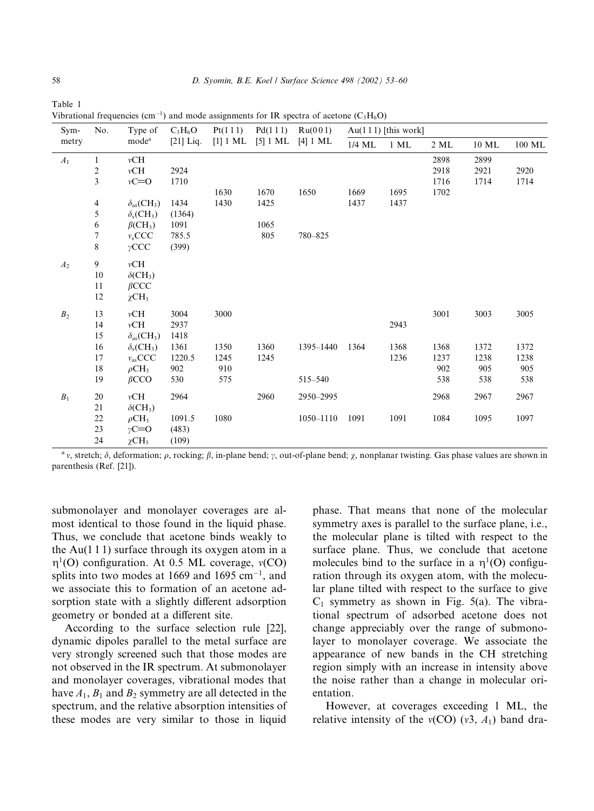|  | Sym-<br>metry  | No.            | Type of<br>mode <sup>a</sup>        | $C_3H_6O$<br>$[21]$ Liq. | Pt(111)<br>$[1]$ 1 ML | Pd(111)<br>$[5]$ 1 ML | Ru(001)<br>$[4]$ 1 ML | $Au(111)$ [this work] |        |      |       |        |
|--|----------------|----------------|-------------------------------------|--------------------------|-----------------------|-----------------------|-----------------------|-----------------------|--------|------|-------|--------|
|  |                |                |                                     |                          |                       |                       |                       | $1/4 \ {\rm ML}$      | $1$ ML | 2 ML | 10 ML | 100 ML |
|  | $A_1$          | $\mathbf{1}$   | vCH                                 |                          |                       |                       |                       |                       |        | 2898 | 2899  |        |
|  |                | 2              | vCH                                 | 2924                     |                       |                       |                       |                       |        | 2918 | 2921  | 2920   |
|  |                | 3              | $vC = 0$                            | 1710                     |                       |                       |                       |                       |        | 1716 | 1714  | 1714   |
|  |                |                |                                     |                          | 1630                  | 1670                  | 1650                  | 1669                  | 1695   | 1702 |       |        |
|  |                | $\overline{4}$ | $\delta_{as}(CH_3)$                 | 1434                     | 1430                  | 1425                  |                       | 1437                  | 1437   |      |       |        |
|  |                | 5              | $\delta_{\rm s}$ (CH <sub>3</sub> ) | (1364)                   |                       |                       |                       |                       |        |      |       |        |
|  |                | 6              | $\beta$ (CH <sub>3</sub> )          | 1091                     |                       | 1065                  |                       |                       |        |      |       |        |
|  |                | 7              | $v_s$ CCC                           | 785.5                    |                       | 805                   | 780-825               |                       |        |      |       |        |
|  |                | 8              | $\gamma$ CCC                        | (399)                    |                       |                       |                       |                       |        |      |       |        |
|  | A <sub>2</sub> | $\overline{9}$ | vCH                                 |                          |                       |                       |                       |                       |        |      |       |        |
|  |                | 10             | $\delta$ (CH <sub>3</sub> )         |                          |                       |                       |                       |                       |        |      |       |        |
|  |                | 11             | $\beta$ CCC                         |                          |                       |                       |                       |                       |        |      |       |        |
|  |                | 12             | $\chi$ CH <sub>3</sub>              |                          |                       |                       |                       |                       |        |      |       |        |
|  | B <sub>2</sub> | 13             | vCH                                 | 3004                     | 3000                  |                       |                       |                       |        | 3001 | 3003  | 3005   |
|  |                | 14             | vCH                                 | 2937                     |                       |                       |                       |                       | 2943   |      |       |        |
|  |                | 15             | $\delta_{as}(CH_3)$                 | 1418                     |                       |                       |                       |                       |        |      |       |        |
|  |                | 16             | $\delta_{\rm s}$ (CH <sub>3</sub> ) | 1361                     | 1350                  | 1360                  | 1395-1440             | 1364                  | 1368   | 1368 | 1372  | 1372   |
|  |                | 17             | $v_{\rm as}$ CCC                    | 1220.5                   | 1245                  | 1245                  |                       |                       | 1236   | 1237 | 1238  | 1238   |
|  |                | 18             | $\rho$ CH <sub>3</sub>              | 902                      | 910                   |                       |                       |                       |        | 902  | 905   | 905    |
|  |                | 19             | $\beta$ CCO                         | 530                      | 575                   |                       | 515-540               |                       |        | 538  | 538   | 538    |
|  | $B_1$          | 20             | vCH                                 | 2964                     |                       | 2960                  | 2950-2995             |                       |        | 2968 | 2967  | 2967   |
|  |                | 21             | $\delta$ (CH <sub>3</sub> )         |                          |                       |                       |                       |                       |        |      |       |        |
|  |                | 22             | $\rho$ CH <sub>3</sub>              | 1091.5                   | 1080                  |                       | 1050-1110             | 1091                  | 1091   | 1084 | 1095  | 1097   |
|  |                | 23             | $\gamma C = O$                      | (483)                    |                       |                       |                       |                       |        |      |       |        |
|  |                | 24             | $\chi$ CH <sub>3</sub>              | (109)                    |                       |                       |                       |                       |        |      |       |        |
|  |                |                |                                     |                          |                       |                       |                       |                       |        |      |       |        |

Table 1 Vibrational frequencies (cm<sup>-1</sup>) and mode assignments for IR spectra of acetone ( $C_3H_6O$ )

<sup>a</sup> v, stretch;  $\delta$ , deformation;  $\rho$ , rocking;  $\beta$ , in-plane bend;  $\gamma$ , out-of-plane bend;  $\chi$ , nonplanar twisting. Gas phase values are shown in parenthesis (Ref. [21]).

submonolayer and monolayer coverages are almost identical to those found in the liquid phase. Thus, we conclude that acetone binds weakly to the Au( $111$ ) surface through its oxygen atom in a  $\eta^1$ (O) configuration. At 0.5 ML coverage,  $v(CO)$ splits into two modes at 1669 and 1695  $cm^{-1}$ , and we associate this to formation of an acetone adsorption state with a slightly different adsorption geometry or bonded at a different site.

According to the surface selection rule [22], dynamic dipoles parallel to the metal surface are very strongly screened such that those modes are not observed in the IR spectrum. At submonolayer and monolayer coverages, vibrational modes that have  $A_1$ ,  $B_1$  and  $B_2$  symmetry are all detected in the spectrum, and the relative absorption intensities of these modes are very similar to those in liquid

phase. That means that none of the molecular symmetry axes is parallel to the surface plane, i.e., the molecular plane is tilted with respect to the surface plane. Thus, we conclude that acetone molecules bind to the surface in a  $\eta^1$ (O) configuration through its oxygen atom, with the molecular plane tilted with respect to the surface to give  $C_1$  symmetry as shown in Fig. 5(a). The vibrational spectrum of adsorbed acetone does not change appreciably over the range of submonolayer to monolayer coverage. We associate the appearance of new bands in the CH stretching region simply with an increase in intensity above the noise rather than a change in molecular orientation

However, at coverages exceeding 1 ML, the relative intensity of the  $v(CO)(v3, A_1)$  band dra-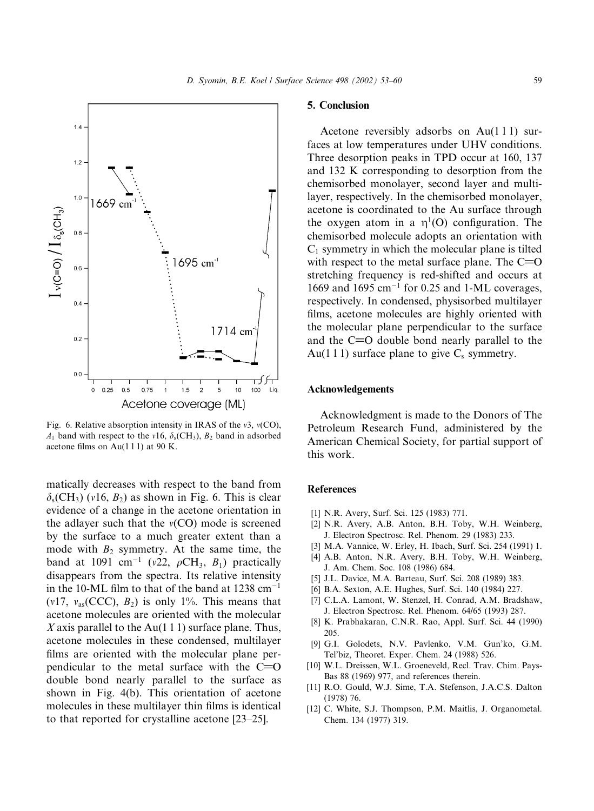

Fig. 6. Relative absorption intensity in IRAS of the v3,  $v(CO)$ ,  $A_1$  band with respect to the v16,  $\delta_s$ (CH<sub>3</sub>),  $B_2$  band in adsorbed acetone films on Au $(1 1 1)$  at 90 K.

matically decreases with respect to the band from  $\delta_s$ (CH<sub>3</sub>) (v16, B<sub>2</sub>) as shown in Fig. 6. This is clear evidence of a change in the acetone orientation in the adlayer such that the  $v(CO)$  mode is screened by the surface to a much greater extent than a mode with  $B_2$  symmetry. At the same time, the band at 1091 cm<sup>-1</sup> (v22,  $\rho$ CH<sub>3</sub>, B<sub>1</sub>) practically disappears from the spectra. Its relative intensity in the 10-ML film to that of the band at 1238  $cm^{-1}$  $(v17, v_{as}(CCC), B_2)$  is only 1%. This means that acetone molecules are oriented with the molecular X axis parallel to the Au(1 1 1) surface plane. Thus, acetone molecules in these condensed, multilayer films are oriented with the molecular plane perpendicular to the metal surface with the  $C=O$ double bond nearly parallel to the surface as shown in Fig. 4(b). This orientation of acetone molecules in these multilayer thin films is identical to that reported for crystalline acetone [23–25].

#### 5. Conclusion

Acetone reversibly adsorbs on  $Au(111)$  surfaces at low temperatures under UHV conditions. Three desorption peaks in TPD occur at 160, 137 and 132 K corresponding to desorption from the chemisorbed monolayer, second layer and multilayer, respectively. In the chemisorbed monolayer, acetone is coordinated to the Au surface through the oxygen atom in a  $\eta^1$ (O) configuration. The chemisorbed molecule adopts an orientation with  $C_1$  symmetry in which the molecular plane is tilted with respect to the metal surface plane. The  $C=O$ stretching frequency is red-shifted and occurs at 1669 and 1695  $cm^{-1}$  for 0.25 and 1-ML coverages, respectively. In condensed, physisorbed multilayer films, acetone molecules are highly oriented with the molecular plane perpendicular to the surface and the C=O double bond nearly parallel to the Au(1 1 1) surface plane to give  $C_s$  symmetry.

#### **Acknowledgements**

Acknowledgment is made to the Donors of The Petroleum Research Fund, administered by the American Chemical Society, for partial support of this work.

### **References**

- [1] N.R. Avery, Surf. Sci. 125 (1983) 771.
- [2] N.R. Avery, A.B. Anton, B.H. Toby, W.H. Weinberg, J. Electron Spectrosc. Rel. Phenom. 29 (1983) 233.
- [3] M.A. Vannice, W. Erley, H. Ibach, Surf. Sci. 254 (1991) 1.
- [4] A.B. Anton, N.R. Avery, B.H. Toby, W.H. Weinberg, J. Am. Chem. Soc. 108 (1986) 684.
- [5] J.L. Davice, M.A. Barteau, Surf. Sci. 208 (1989) 383.
- [6] B.A. Sexton, A.E. Hughes, Surf. Sci. 140 (1984) 227.
- [7] C.L.A. Lamont, W. Stenzel, H. Conrad, A.M. Bradshaw, J. Electron Spectrosc. Rel. Phenom. 64/65 (1993) 287.
- [8] K. Prabhakaran, C.N.R. Rao, Appl. Surf. Sci. 44 (1990) 205.
- [9] G.I. Golodets, N.V. Pavlenko, V.M. Gun'ko, G.M. Tel'biz, Theoret. Exper. Chem. 24 (1988) 526.
- [10] W.L. Dreissen, W.L. Groeneveld, Recl. Trav. Chim. Pays-Bas 88 (1969) 977, and references therein.
- [11] R.O. Gould, W.J. Sime, T.A. Stefenson, J.A.C.S. Dalton  $(1978)$  76.
- [12] C. White, S.J. Thompson, P.M. Maitlis, J. Organometal. Chem. 134 (1977) 319.